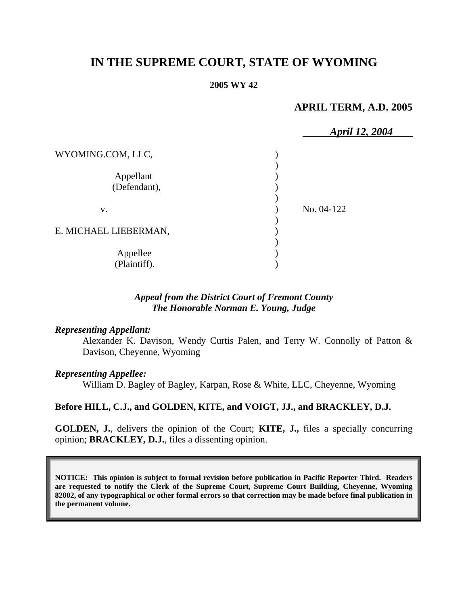# **IN THE SUPREME COURT, STATE OF WYOMING**

#### **2005 WY 42**

# **APRIL TERM, A.D. 2005**

|                           | <b>April 12, 2004</b> |
|---------------------------|-----------------------|
| WYOMING.COM, LLC,         |                       |
| Appellant<br>(Defendant), |                       |
| V.                        | No. 04-122            |
| E. MICHAEL LIEBERMAN,     |                       |
| Appellee<br>(Plaintiff).  |                       |

# *Appeal from the District Court of Fremont County The Honorable Norman E. Young, Judge*

#### *Representing Appellant:*

Alexander K. Davison, Wendy Curtis Palen, and Terry W. Connolly of Patton & Davison, Cheyenne, Wyoming

# *Representing Appellee:*

William D. Bagley of Bagley, Karpan, Rose & White, LLC, Cheyenne, Wyoming

# **Before HILL, C.J., and GOLDEN, KITE, and VOIGT, JJ., and BRACKLEY, D.J.**

**GOLDEN, J.**, delivers the opinion of the Court; **KITE, J.,** files a specially concurring opinion; **BRACKLEY, D.J.**, files a dissenting opinion.

**NOTICE: This opinion is subject to formal revision before publication in Pacific Reporter Third. Readers are requested to notify the Clerk of the Supreme Court, Supreme Court Building, Cheyenne, Wyoming 82002, of any typographical or other formal errors so that correction may be made before final publication in the permanent volume.**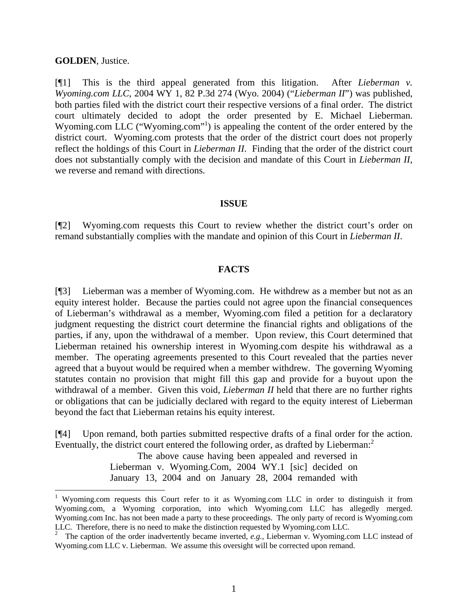#### **GOLDEN**, Justice.

[¶1] This is the third appeal generated from this litigation. After *Lieberman v. Wyoming.com LLC*, 2004 WY 1, 82 P.3d 274 (Wyo. 2004) ("*Lieberman II*") was published, both parties filed with the district court their respective versions of a final order. The district court ultimately decided to adopt the order presented by E. Michael Lieberman. Wyoming.com LLC ("Wyoming.com"<sup>1</sup>) is appealing the content of the order entered by the district court. Wyoming.com protests that the order of the district court does not properly reflect the holdings of this Court in *Lieberman II*. Finding that the order of the district court does not substantially comply with the decision and mandate of this Court in *Lieberman II*, we reverse and remand with directions.

# **ISSUE**

[¶2] Wyoming.com requests this Court to review whether the district court's order on remand substantially complies with the mandate and opinion of this Court in *Lieberman II*.

# **FACTS**

[¶3] Lieberman was a member of Wyoming.com. He withdrew as a member but not as an equity interest holder. Because the parties could not agree upon the financial consequences of Lieberman's withdrawal as a member, Wyoming.com filed a petition for a declaratory judgment requesting the district court determine the financial rights and obligations of the parties, if any, upon the withdrawal of a member. Upon review, this Court determined that Lieberman retained his ownership interest in Wyoming.com despite his withdrawal as a member. The operating agreements presented to this Court revealed that the parties never agreed that a buyout would be required when a member withdrew. The governing Wyoming statutes contain no provision that might fill this gap and provide for a buyout upon the withdrawal of a member. Given this void, *Lieberman II* held that there are no further rights or obligations that can be judicially declared with regard to the equity interest of Lieberman beyond the fact that Lieberman retains his equity interest.

[¶4] Upon remand, both parties submitted respective drafts of a final order for the action. Eventually, the district court entered the following order, as drafted by Lieberman:<sup>2</sup>

> The above cause having been appealed and reversed in Lieberman v. Wyoming.Com, 2004 WY.1 [sic] decided on January 13, 2004 and on January 28, 2004 remanded with

<sup>&</sup>lt;sup>1</sup> Wyoming.com requests this Court refer to it as Wyoming.com LLC in order to distinguish it from Wyoming.com, a Wyoming corporation, into which Wyoming.com LLC has allegedly merged. Wyoming.com Inc. has not been made a party to these proceedings. The only party of record is Wyoming.com LLC. Therefore, there is no need to make the distinction requested by Wyoming.com LLC.

<sup>2</sup> The caption of the order inadvertently became inverted, *e.g.,* Lieberman v. Wyoming.com LLC instead of Wyoming.com LLC v. Lieberman. We assume this oversight will be corrected upon remand.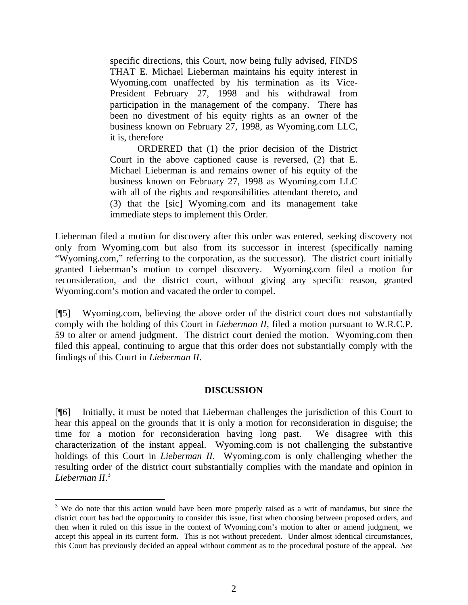specific directions, this Court, now being fully advised, FINDS THAT E. Michael Lieberman maintains his equity interest in Wyoming.com unaffected by his termination as its Vice-President February 27, 1998 and his withdrawal from participation in the management of the company. There has been no divestment of his equity rights as an owner of the business known on February 27, 1998, as Wyoming.com LLC, it is, therefore

ORDERED that (1) the prior decision of the District Court in the above captioned cause is reversed, (2) that E. Michael Lieberman is and remains owner of his equity of the business known on February 27, 1998 as Wyoming.com LLC with all of the rights and responsibilities attendant thereto, and (3) that the [sic] Wyoming.com and its management take immediate steps to implement this Order.

Lieberman filed a motion for discovery after this order was entered, seeking discovery not only from Wyoming.com but also from its successor in interest (specifically naming "Wyoming.com," referring to the corporation, as the successor). The district court initially granted Lieberman's motion to compel discovery. Wyoming.com filed a motion for reconsideration, and the district court, without giving any specific reason, granted Wyoming.com's motion and vacated the order to compel.

[¶5] Wyoming.com, believing the above order of the district court does not substantially comply with the holding of this Court in *Lieberman II*, filed a motion pursuant to W.R.C.P. 59 to alter or amend judgment. The district court denied the motion. Wyoming.com then filed this appeal, continuing to argue that this order does not substantially comply with the findings of this Court in *Lieberman II*.

# **DISCUSSION**

[¶6] Initially, it must be noted that Lieberman challenges the jurisdiction of this Court to hear this appeal on the grounds that it is only a motion for reconsideration in disguise; the time for a motion for reconsideration having long past. We disagree with this characterization of the instant appeal. Wyoming.com is not challenging the substantive holdings of this Court in *Lieberman II*. Wyoming.com is only challenging whether the resulting order of the district court substantially complies with the mandate and opinion in *Lieberman II*. 3

l

 $3$  We do note that this action would have been more properly raised as a writ of mandamus, but since the district court has had the opportunity to consider this issue, first when choosing between proposed orders, and then when it ruled on this issue in the context of Wyoming.com's motion to alter or amend judgment, we accept this appeal in its current form. This is not without precedent. Under almost identical circumstances, this Court has previously decided an appeal without comment as to the procedural posture of the appeal. *See*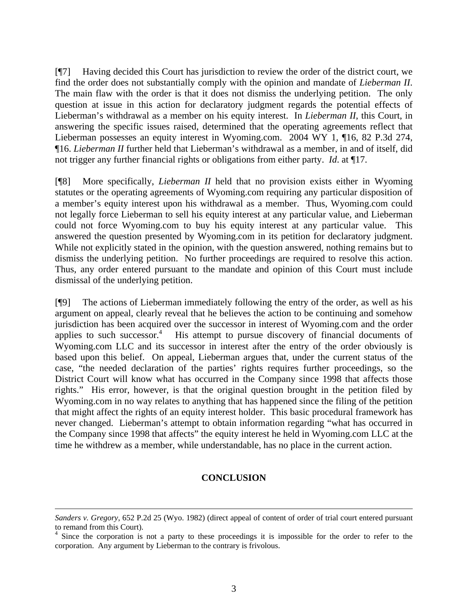[¶7] Having decided this Court has jurisdiction to review the order of the district court, we find the order does not substantially comply with the opinion and mandate of *Lieberman II*. The main flaw with the order is that it does not dismiss the underlying petition. The only question at issue in this action for declaratory judgment regards the potential effects of Lieberman's withdrawal as a member on his equity interest. In *Lieberman II*, this Court, in answering the specific issues raised, determined that the operating agreements reflect that Lieberman possesses an equity interest in Wyoming.com. 2004 WY 1, ¶16, 82 P.3d 274, ¶16. *Lieberman II* further held that Lieberman's withdrawal as a member, in and of itself, did not trigger any further financial rights or obligations from either party. *Id*. at ¶17.

[¶8] More specifically, *Lieberman II* held that no provision exists either in Wyoming statutes or the operating agreements of Wyoming.com requiring any particular disposition of a member's equity interest upon his withdrawal as a member. Thus, Wyoming.com could not legally force Lieberman to sell his equity interest at any particular value, and Lieberman could not force Wyoming.com to buy his equity interest at any particular value. This answered the question presented by Wyoming.com in its petition for declaratory judgment. While not explicitly stated in the opinion, with the question answered, nothing remains but to dismiss the underlying petition. No further proceedings are required to resolve this action. Thus, any order entered pursuant to the mandate and opinion of this Court must include dismissal of the underlying petition.

[¶9] The actions of Lieberman immediately following the entry of the order, as well as his argument on appeal, clearly reveal that he believes the action to be continuing and somehow jurisdiction has been acquired over the successor in interest of Wyoming.com and the order applies to such successor. $4$  His attempt to pursue discovery of financial documents of Wyoming.com LLC and its successor in interest after the entry of the order obviously is based upon this belief. On appeal, Lieberman argues that, under the current status of the case, "the needed declaration of the parties' rights requires further proceedings, so the District Court will know what has occurred in the Company since 1998 that affects those rights." His error, however, is that the original question brought in the petition filed by Wyoming.com in no way relates to anything that has happened since the filing of the petition that might affect the rights of an equity interest holder. This basic procedural framework has never changed. Lieberman's attempt to obtain information regarding "what has occurred in the Company since 1998 that affects" the equity interest he held in Wyoming.com LLC at the time he withdrew as a member, while understandable, has no place in the current action.

# **CONCLUSION**

 $\overline{a}$ 

*Sanders v. Gregory*, 652 P.2d 25 (Wyo. 1982) (direct appeal of content of order of trial court entered pursuant to remand from this Court). 4

<sup>&</sup>lt;sup>4</sup> Since the corporation is not a party to these proceedings it is impossible for the order to refer to the corporation. Any argument by Lieberman to the contrary is frivolous.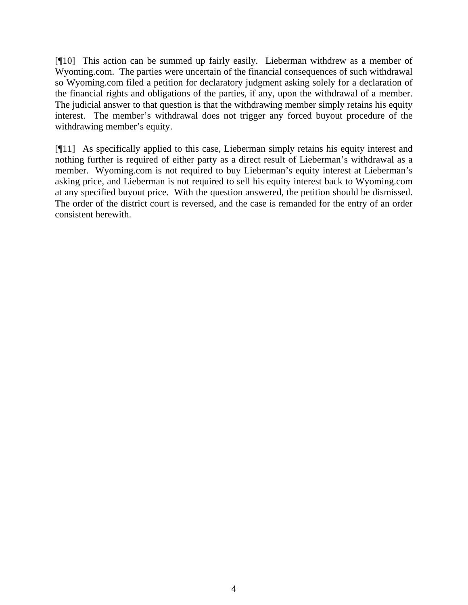[¶10] This action can be summed up fairly easily. Lieberman withdrew as a member of Wyoming.com. The parties were uncertain of the financial consequences of such withdrawal so Wyoming.com filed a petition for declaratory judgment asking solely for a declaration of the financial rights and obligations of the parties, if any, upon the withdrawal of a member. The judicial answer to that question is that the withdrawing member simply retains his equity interest. The member's withdrawal does not trigger any forced buyout procedure of the withdrawing member's equity.

[¶11] As specifically applied to this case, Lieberman simply retains his equity interest and nothing further is required of either party as a direct result of Lieberman's withdrawal as a member. Wyoming.com is not required to buy Lieberman's equity interest at Lieberman's asking price, and Lieberman is not required to sell his equity interest back to Wyoming.com at any specified buyout price. With the question answered, the petition should be dismissed. The order of the district court is reversed, and the case is remanded for the entry of an order consistent herewith.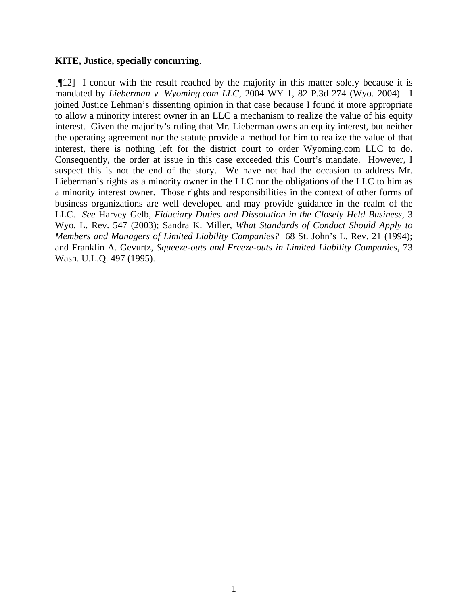# **KITE, Justice, specially concurring**.

[¶12] I concur with the result reached by the majority in this matter solely because it is mandated by *Lieberman v. Wyoming.com LLC*, 2004 WY 1, 82 P.3d 274 (Wyo. 2004). I joined Justice Lehman's dissenting opinion in that case because I found it more appropriate to allow a minority interest owner in an LLC a mechanism to realize the value of his equity interest. Given the majority's ruling that Mr. Lieberman owns an equity interest, but neither the operating agreement nor the statute provide a method for him to realize the value of that interest, there is nothing left for the district court to order Wyoming.com LLC to do. Consequently, the order at issue in this case exceeded this Court's mandate. However, I suspect this is not the end of the story. We have not had the occasion to address Mr. Lieberman's rights as a minority owner in the LLC nor the obligations of the LLC to him as a minority interest owner. Those rights and responsibilities in the context of other forms of business organizations are well developed and may provide guidance in the realm of the LLC. *See* Harvey Gelb, *Fiduciary Duties and Dissolution in the Closely Held Business*, 3 Wyo. L. Rev. 547 (2003); Sandra K. Miller, *What Standards of Conduct Should Apply to Members and Managers of Limited Liability Companies?* 68 St. John's L. Rev. 21 (1994); and Franklin A. Gevurtz, *Squeeze-outs and Freeze-outs in Limited Liability Companies*, 73 Wash. U.L.Q. 497 (1995).